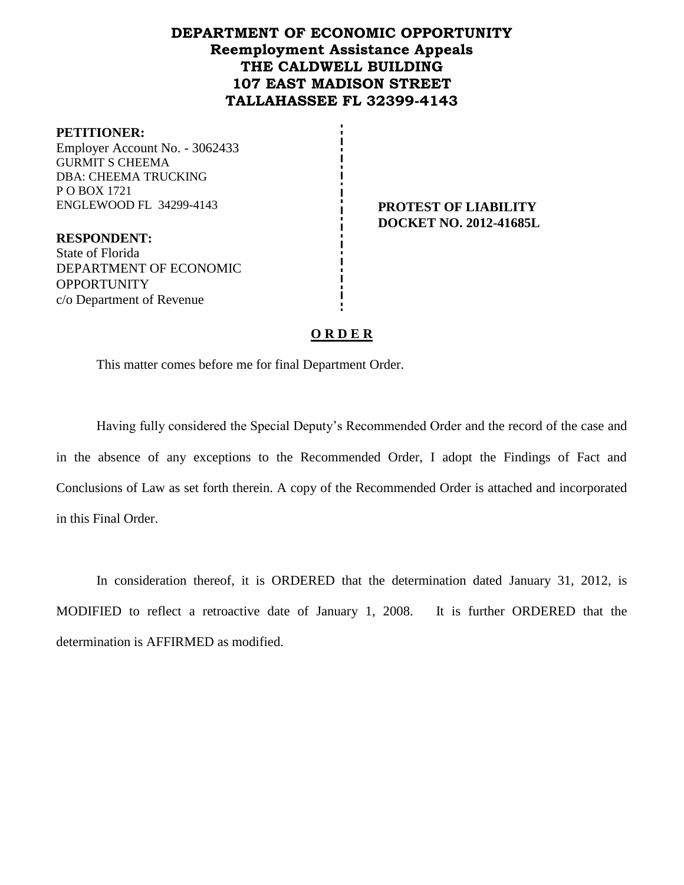## **DEPARTMENT OF ECONOMIC OPPORTUNITY Reemployment Assistance Appeals THE CALDWELL BUILDING 107 EAST MADISON STREET TALLAHASSEE FL 32399-4143**

#### **PETITIONER:**

Employer Account No. - 3062433 GURMIT S CHEEMA DBA: CHEEMA TRUCKING P O BOX 1721 ENGLEWOOD FL 34299-4143 **PROTEST OF LIABILITY**

**RESPONDENT:** State of Florida DEPARTMENT OF ECONOMIC OPPORTUNITY c/o Department of Revenue

**DOCKET NO. 2012-41685L**

### **O R D E R**

This matter comes before me for final Department Order.

Having fully considered the Special Deputy's Recommended Order and the record of the case and in the absence of any exceptions to the Recommended Order, I adopt the Findings of Fact and Conclusions of Law as set forth therein. A copy of the Recommended Order is attached and incorporated in this Final Order.

In consideration thereof, it is ORDERED that the determination dated January 31, 2012, is MODIFIED to reflect a retroactive date of January 1, 2008. It is further ORDERED that the determination is AFFIRMED as modified.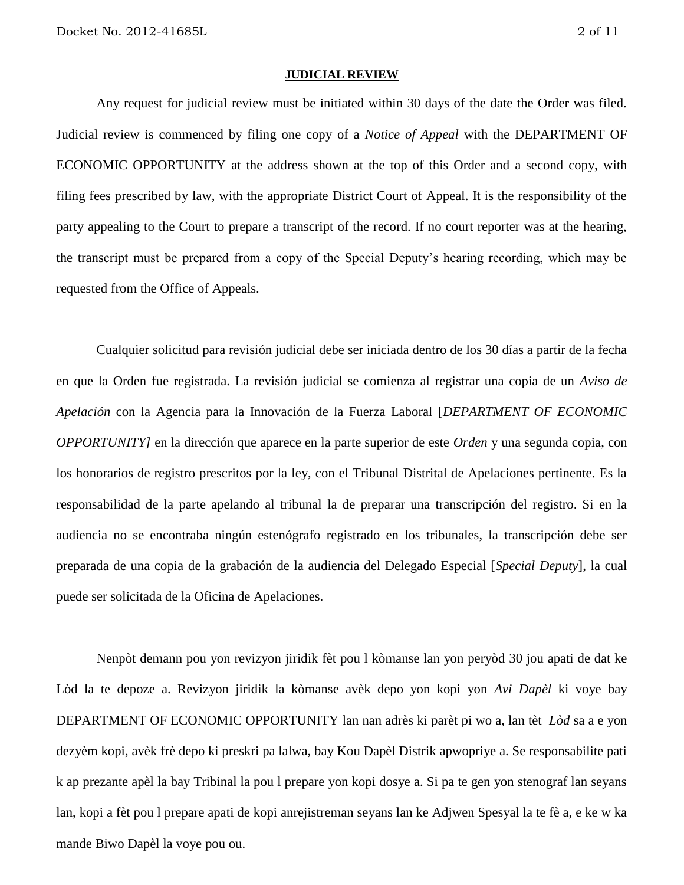#### **JUDICIAL REVIEW**

Any request for judicial review must be initiated within 30 days of the date the Order was filed. Judicial review is commenced by filing one copy of a *Notice of Appeal* with the DEPARTMENT OF ECONOMIC OPPORTUNITY at the address shown at the top of this Order and a second copy, with filing fees prescribed by law, with the appropriate District Court of Appeal. It is the responsibility of the party appealing to the Court to prepare a transcript of the record. If no court reporter was at the hearing, the transcript must be prepared from a copy of the Special Deputy's hearing recording, which may be requested from the Office of Appeals.

Cualquier solicitud para revisión judicial debe ser iniciada dentro de los 30 días a partir de la fecha en que la Orden fue registrada. La revisión judicial se comienza al registrar una copia de un *Aviso de Apelación* con la Agencia para la Innovación de la Fuerza Laboral [*DEPARTMENT OF ECONOMIC OPPORTUNITY]* en la dirección que aparece en la parte superior de este *Orden* y una segunda copia, con los honorarios de registro prescritos por la ley, con el Tribunal Distrital de Apelaciones pertinente. Es la responsabilidad de la parte apelando al tribunal la de preparar una transcripción del registro. Si en la audiencia no se encontraba ningún estenógrafo registrado en los tribunales, la transcripción debe ser preparada de una copia de la grabación de la audiencia del Delegado Especial [*Special Deputy*], la cual puede ser solicitada de la Oficina de Apelaciones.

Nenpòt demann pou yon revizyon jiridik fèt pou l kòmanse lan yon peryòd 30 jou apati de dat ke Lòd la te depoze a. Revizyon jiridik la kòmanse avèk depo yon kopi yon *Avi Dapèl* ki voye bay DEPARTMENT OF ECONOMIC OPPORTUNITY lan nan adrès ki parèt pi wo a, lan tèt *Lòd* sa a e yon dezyèm kopi, avèk frè depo ki preskri pa lalwa, bay Kou Dapèl Distrik apwopriye a. Se responsabilite pati k ap prezante apèl la bay Tribinal la pou l prepare yon kopi dosye a. Si pa te gen yon stenograf lan seyans lan, kopi a fèt pou l prepare apati de kopi anrejistreman seyans lan ke Adjwen Spesyal la te fè a, e ke w ka mande Biwo Dapèl la voye pou ou.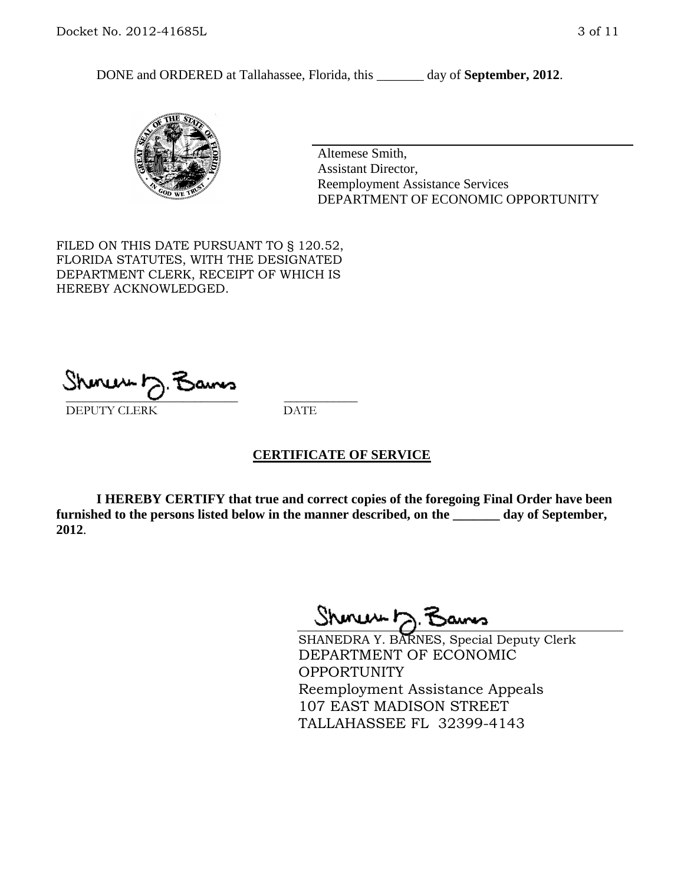DONE and ORDERED at Tallahassee, Florida, this \_\_\_\_\_\_\_ day of **September, 2012**.



Altemese Smith, Assistant Director, Reemployment Assistance Services DEPARTMENT OF ECONOMIC OPPORTUNITY

FILED ON THIS DATE PURSUANT TO § 120.52, FLORIDA STATUTES, WITH THE DESIGNATED DEPARTMENT CLERK, RECEIPT OF WHICH IS HEREBY ACKNOWLEDGED.

\_\_\_\_\_\_\_\_\_\_\_\_\_\_\_\_\_\_\_\_\_\_\_\_\_\_\_\_ \_\_\_\_\_\_\_\_\_\_\_\_ DEPUTY CLERK DATE

#### **CERTIFICATE OF SERVICE**

**I HEREBY CERTIFY that true and correct copies of the foregoing Final Order have been furnished to the persons listed below in the manner described, on the \_\_\_\_\_\_\_ day of September, 2012**.

Shonew b

SHANEDRA Y. BARNES, Special Deputy Clerk DEPARTMENT OF ECONOMIC **OPPORTUNITY** Reemployment Assistance Appeals 107 EAST MADISON STREET TALLAHASSEE FL 32399-4143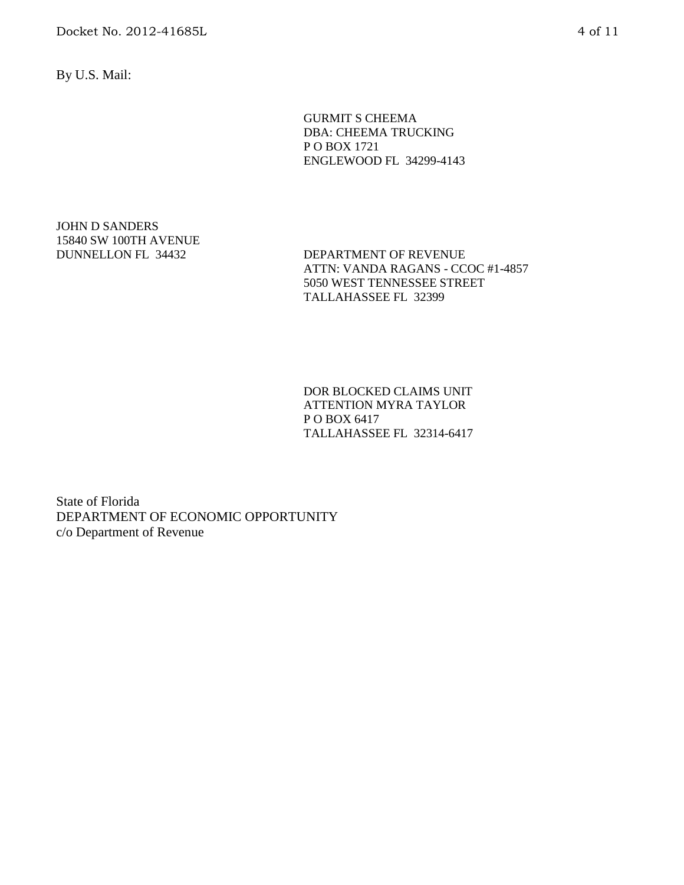Docket No. 2012-41685L 4 of 11

By U.S. Mail:

GURMIT S CHEEMA DBA: CHEEMA TRUCKING P O BOX 1721 ENGLEWOOD FL 34299-4143

# JOHN D SANDERS 15840 SW 100TH AVENUE

DUNNELLON FL 34432 DEPARTMENT OF REVENUE ATTN: VANDA RAGANS - CCOC #1-4857 5050 WEST TENNESSEE STREET TALLAHASSEE FL 32399

> DOR BLOCKED CLAIMS UNIT ATTENTION MYRA TAYLOR P O BOX 6417 TALLAHASSEE FL 32314-6417

State of Florida DEPARTMENT OF ECONOMIC OPPORTUNITY c/o Department of Revenue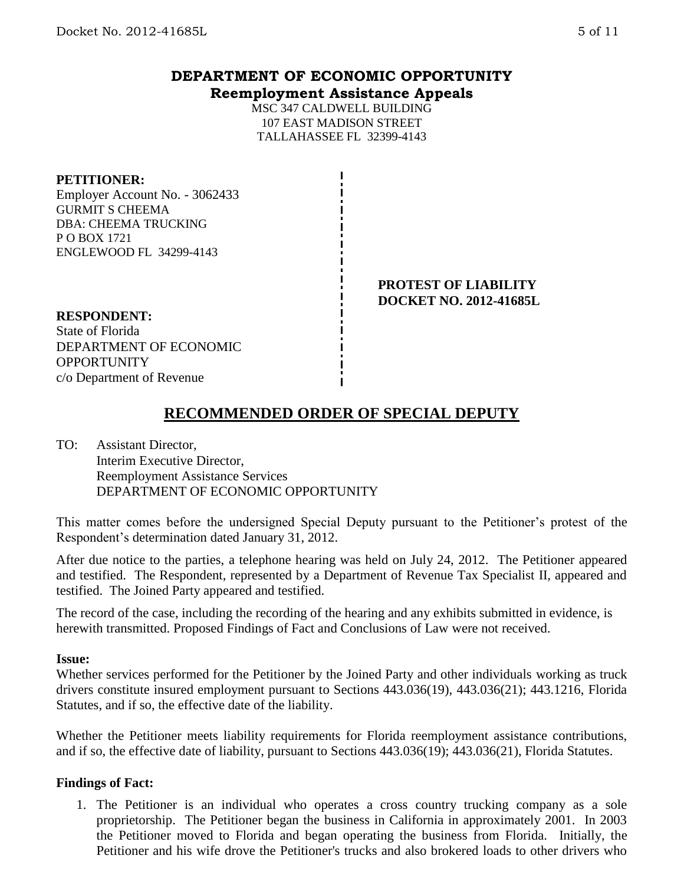## **DEPARTMENT OF ECONOMIC OPPORTUNITY Reemployment Assistance Appeals**

MSC 347 CALDWELL BUILDING 107 EAST MADISON STREET TALLAHASSEE FL 32399-4143

#### **PETITIONER:**

Employer Account No. - 3062433 GURMIT S CHEEMA DBA: CHEEMA TRUCKING P O BOX 1721 ENGLEWOOD FL 34299-4143

> **PROTEST OF LIABILITY DOCKET NO. 2012-41685L**

### **RESPONDENT:**

State of Florida DEPARTMENT OF ECONOMIC **OPPORTUNITY** c/o Department of Revenue

## **RECOMMENDED ORDER OF SPECIAL DEPUTY**

TO: Assistant Director, Interim Executive Director, Reemployment Assistance Services DEPARTMENT OF ECONOMIC OPPORTUNITY

This matter comes before the undersigned Special Deputy pursuant to the Petitioner's protest of the Respondent's determination dated January 31, 2012.

After due notice to the parties, a telephone hearing was held on July 24, 2012. The Petitioner appeared and testified. The Respondent, represented by a Department of Revenue Tax Specialist II, appeared and testified. The Joined Party appeared and testified.

The record of the case, including the recording of the hearing and any exhibits submitted in evidence, is herewith transmitted. Proposed Findings of Fact and Conclusions of Law were not received.

#### **Issue:**

Whether services performed for the Petitioner by the Joined Party and other individuals working as truck drivers constitute insured employment pursuant to Sections 443.036(19), 443.036(21); 443.1216, Florida Statutes, and if so, the effective date of the liability.

Whether the Petitioner meets liability requirements for Florida reemployment assistance contributions, and if so, the effective date of liability, pursuant to Sections 443.036(19); 443.036(21), Florida Statutes.

## **Findings of Fact:**

1. The Petitioner is an individual who operates a cross country trucking company as a sole proprietorship. The Petitioner began the business in California in approximately 2001. In 2003 the Petitioner moved to Florida and began operating the business from Florida. Initially, the Petitioner and his wife drove the Petitioner's trucks and also brokered loads to other drivers who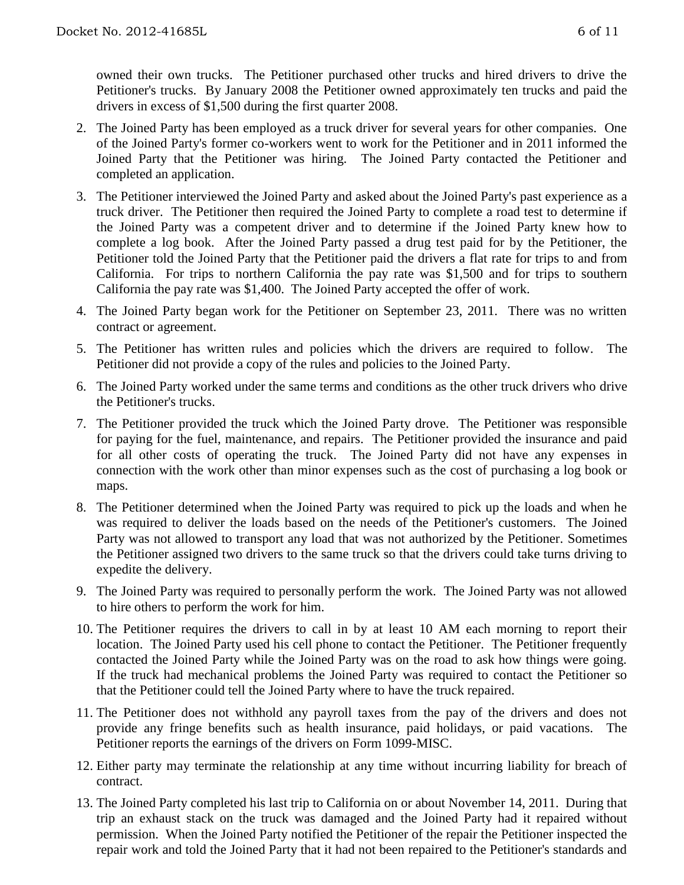owned their own trucks. The Petitioner purchased other trucks and hired drivers to drive the Petitioner's trucks. By January 2008 the Petitioner owned approximately ten trucks and paid the drivers in excess of \$1,500 during the first quarter 2008.

- 2. The Joined Party has been employed as a truck driver for several years for other companies. One of the Joined Party's former co-workers went to work for the Petitioner and in 2011 informed the Joined Party that the Petitioner was hiring. The Joined Party contacted the Petitioner and completed an application.
- 3. The Petitioner interviewed the Joined Party and asked about the Joined Party's past experience as a truck driver. The Petitioner then required the Joined Party to complete a road test to determine if the Joined Party was a competent driver and to determine if the Joined Party knew how to complete a log book. After the Joined Party passed a drug test paid for by the Petitioner, the Petitioner told the Joined Party that the Petitioner paid the drivers a flat rate for trips to and from California. For trips to northern California the pay rate was \$1,500 and for trips to southern California the pay rate was \$1,400. The Joined Party accepted the offer of work.
- 4. The Joined Party began work for the Petitioner on September 23, 2011. There was no written contract or agreement.
- 5. The Petitioner has written rules and policies which the drivers are required to follow. The Petitioner did not provide a copy of the rules and policies to the Joined Party.
- 6. The Joined Party worked under the same terms and conditions as the other truck drivers who drive the Petitioner's trucks.
- 7. The Petitioner provided the truck which the Joined Party drove. The Petitioner was responsible for paying for the fuel, maintenance, and repairs. The Petitioner provided the insurance and paid for all other costs of operating the truck. The Joined Party did not have any expenses in connection with the work other than minor expenses such as the cost of purchasing a log book or maps.
- 8. The Petitioner determined when the Joined Party was required to pick up the loads and when he was required to deliver the loads based on the needs of the Petitioner's customers. The Joined Party was not allowed to transport any load that was not authorized by the Petitioner. Sometimes the Petitioner assigned two drivers to the same truck so that the drivers could take turns driving to expedite the delivery.
- 9. The Joined Party was required to personally perform the work. The Joined Party was not allowed to hire others to perform the work for him.
- 10. The Petitioner requires the drivers to call in by at least 10 AM each morning to report their location. The Joined Party used his cell phone to contact the Petitioner. The Petitioner frequently contacted the Joined Party while the Joined Party was on the road to ask how things were going. If the truck had mechanical problems the Joined Party was required to contact the Petitioner so that the Petitioner could tell the Joined Party where to have the truck repaired.
- 11. The Petitioner does not withhold any payroll taxes from the pay of the drivers and does not provide any fringe benefits such as health insurance, paid holidays, or paid vacations. The Petitioner reports the earnings of the drivers on Form 1099-MISC.
- 12. Either party may terminate the relationship at any time without incurring liability for breach of contract.
- 13. The Joined Party completed his last trip to California on or about November 14, 2011. During that trip an exhaust stack on the truck was damaged and the Joined Party had it repaired without permission. When the Joined Party notified the Petitioner of the repair the Petitioner inspected the repair work and told the Joined Party that it had not been repaired to the Petitioner's standards and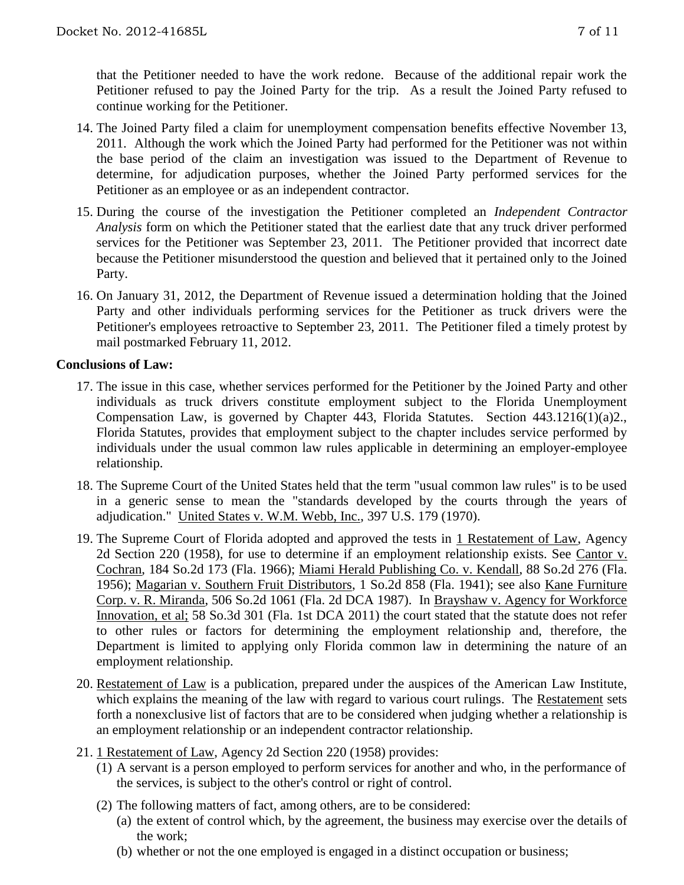that the Petitioner needed to have the work redone. Because of the additional repair work the Petitioner refused to pay the Joined Party for the trip. As a result the Joined Party refused to continue working for the Petitioner.

- 14. The Joined Party filed a claim for unemployment compensation benefits effective November 13, 2011. Although the work which the Joined Party had performed for the Petitioner was not within the base period of the claim an investigation was issued to the Department of Revenue to determine, for adjudication purposes, whether the Joined Party performed services for the Petitioner as an employee or as an independent contractor.
- 15. During the course of the investigation the Petitioner completed an *Independent Contractor Analysis* form on which the Petitioner stated that the earliest date that any truck driver performed services for the Petitioner was September 23, 2011. The Petitioner provided that incorrect date because the Petitioner misunderstood the question and believed that it pertained only to the Joined Party.
- 16. On January 31, 2012, the Department of Revenue issued a determination holding that the Joined Party and other individuals performing services for the Petitioner as truck drivers were the Petitioner's employees retroactive to September 23, 2011. The Petitioner filed a timely protest by mail postmarked February 11, 2012.

#### **Conclusions of Law:**

- 17. The issue in this case, whether services performed for the Petitioner by the Joined Party and other individuals as truck drivers constitute employment subject to the Florida Unemployment Compensation Law, is governed by Chapter 443, Florida Statutes. Section 443.1216(1)(a)2., Florida Statutes, provides that employment subject to the chapter includes service performed by individuals under the usual common law rules applicable in determining an employer-employee relationship.
- 18. The Supreme Court of the United States held that the term "usual common law rules" is to be used in a generic sense to mean the "standards developed by the courts through the years of adjudication." United States v. W.M. Webb, Inc., 397 U.S. 179 (1970).
- 19. The Supreme Court of Florida adopted and approved the tests in 1 Restatement of Law, Agency 2d Section 220 (1958), for use to determine if an employment relationship exists. See Cantor v. Cochran, 184 So.2d 173 (Fla. 1966); Miami Herald Publishing Co. v. Kendall, 88 So.2d 276 (Fla. 1956); Magarian v. Southern Fruit Distributors, 1 So.2d 858 (Fla. 1941); see also Kane Furniture Corp. v. R. Miranda, 506 So.2d 1061 (Fla. 2d DCA 1987). In Brayshaw v. Agency for Workforce Innovation, et al; 58 So.3d 301 (Fla. 1st DCA 2011) the court stated that the statute does not refer to other rules or factors for determining the employment relationship and, therefore, the Department is limited to applying only Florida common law in determining the nature of an employment relationship.
- 20. Restatement of Law is a publication, prepared under the auspices of the American Law Institute, which explains the meaning of the law with regard to various court rulings. The Restatement sets forth a nonexclusive list of factors that are to be considered when judging whether a relationship is an employment relationship or an independent contractor relationship.
- 21. 1 Restatement of Law, Agency 2d Section 220 (1958) provides:
	- (1) A servant is a person employed to perform services for another and who, in the performance of the services, is subject to the other's control or right of control.
	- (2) The following matters of fact, among others, are to be considered:
		- (a) the extent of control which, by the agreement, the business may exercise over the details of the work;
		- (b) whether or not the one employed is engaged in a distinct occupation or business;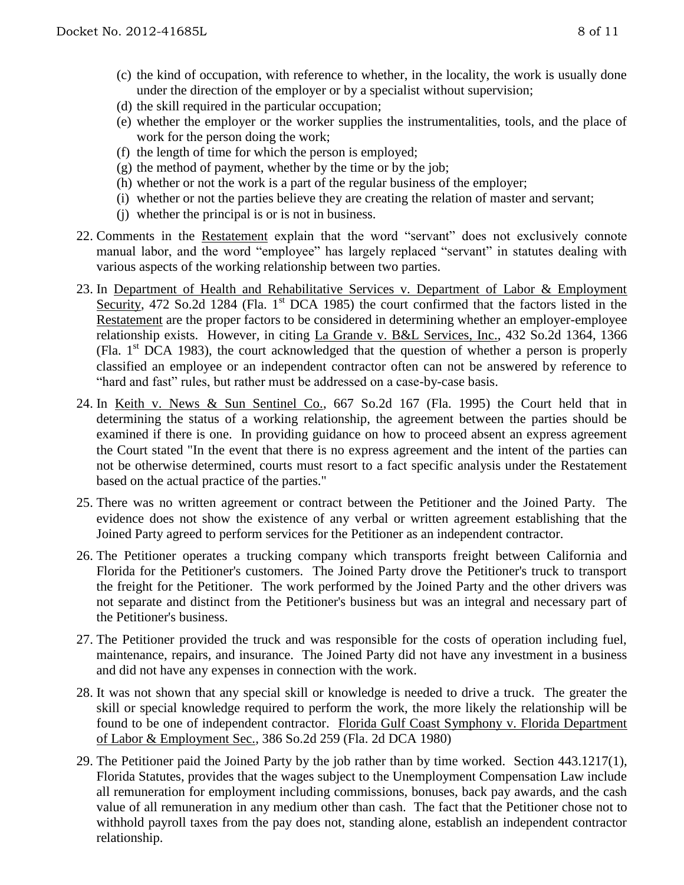- (c) the kind of occupation, with reference to whether, in the locality, the work is usually done under the direction of the employer or by a specialist without supervision;
- (d) the skill required in the particular occupation;
- (e) whether the employer or the worker supplies the instrumentalities, tools, and the place of work for the person doing the work;
- (f) the length of time for which the person is employed;
- (g) the method of payment, whether by the time or by the job;
- (h) whether or not the work is a part of the regular business of the employer;
- (i) whether or not the parties believe they are creating the relation of master and servant;
- (j) whether the principal is or is not in business.
- 22. Comments in the Restatement explain that the word "servant" does not exclusively connote manual labor, and the word "employee" has largely replaced "servant" in statutes dealing with various aspects of the working relationship between two parties.
- 23. In Department of Health and Rehabilitative Services v. Department of Labor & Employment Security, 472 So.2d 1284 (Fla. 1<sup>st</sup> DCA 1985) the court confirmed that the factors listed in the Restatement are the proper factors to be considered in determining whether an employer-employee relationship exists. However, in citing La Grande v. B&L Services, Inc., 432 So.2d 1364, 1366 (Fla.  $1<sup>st</sup> DCA$  1983), the court acknowledged that the question of whether a person is properly classified an employee or an independent contractor often can not be answered by reference to "hard and fast" rules, but rather must be addressed on a case-by-case basis.
- 24. In Keith v. News & Sun Sentinel Co., 667 So.2d 167 (Fla. 1995) the Court held that in determining the status of a working relationship, the agreement between the parties should be examined if there is one. In providing guidance on how to proceed absent an express agreement the Court stated "In the event that there is no express agreement and the intent of the parties can not be otherwise determined, courts must resort to a fact specific analysis under the Restatement based on the actual practice of the parties."
- 25. There was no written agreement or contract between the Petitioner and the Joined Party. The evidence does not show the existence of any verbal or written agreement establishing that the Joined Party agreed to perform services for the Petitioner as an independent contractor.
- 26. The Petitioner operates a trucking company which transports freight between California and Florida for the Petitioner's customers. The Joined Party drove the Petitioner's truck to transport the freight for the Petitioner. The work performed by the Joined Party and the other drivers was not separate and distinct from the Petitioner's business but was an integral and necessary part of the Petitioner's business.
- 27. The Petitioner provided the truck and was responsible for the costs of operation including fuel, maintenance, repairs, and insurance. The Joined Party did not have any investment in a business and did not have any expenses in connection with the work.
- 28. It was not shown that any special skill or knowledge is needed to drive a truck. The greater the skill or special knowledge required to perform the work, the more likely the relationship will be found to be one of independent contractor. Florida Gulf Coast Symphony v. Florida Department of Labor & Employment Sec., 386 So.2d 259 (Fla. 2d DCA 1980)
- 29. The Petitioner paid the Joined Party by the job rather than by time worked. Section 443.1217(1), Florida Statutes, provides that the wages subject to the Unemployment Compensation Law include all remuneration for employment including commissions, bonuses, back pay awards, and the cash value of all remuneration in any medium other than cash. The fact that the Petitioner chose not to withhold payroll taxes from the pay does not, standing alone, establish an independent contractor relationship.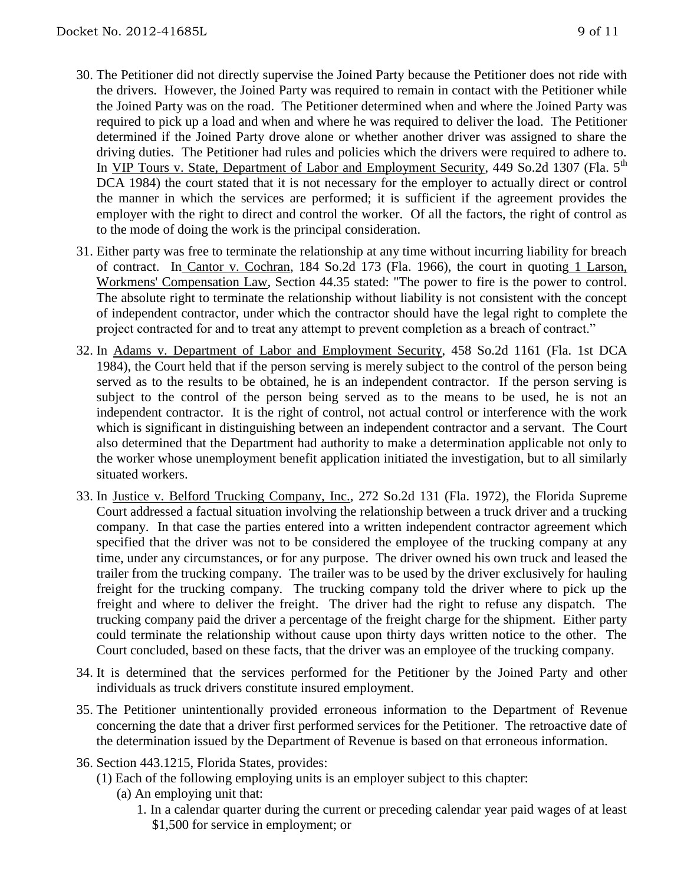- 30. The Petitioner did not directly supervise the Joined Party because the Petitioner does not ride with the drivers. However, the Joined Party was required to remain in contact with the Petitioner while the Joined Party was on the road. The Petitioner determined when and where the Joined Party was required to pick up a load and when and where he was required to deliver the load. The Petitioner determined if the Joined Party drove alone or whether another driver was assigned to share the driving duties. The Petitioner had rules and policies which the drivers were required to adhere to. In VIP Tours v. State, Department of Labor and Employment Security, 449 So.2d 1307 (Fla. 5<sup>th</sup>) DCA 1984) the court stated that it is not necessary for the employer to actually direct or control the manner in which the services are performed; it is sufficient if the agreement provides the employer with the right to direct and control the worker. Of all the factors, the right of control as to the mode of doing the work is the principal consideration.
- 31. Either party was free to terminate the relationship at any time without incurring liability for breach of contract. In Cantor v. Cochran, 184 So.2d 173 (Fla. 1966), the court in quoting 1 Larson, Workmens' Compensation Law, Section 44.35 stated: "The power to fire is the power to control. The absolute right to terminate the relationship without liability is not consistent with the concept of independent contractor, under which the contractor should have the legal right to complete the project contracted for and to treat any attempt to prevent completion as a breach of contract."
- 32. In Adams v. Department of Labor and Employment Security, 458 So.2d 1161 (Fla. 1st DCA 1984), the Court held that if the person serving is merely subject to the control of the person being served as to the results to be obtained, he is an independent contractor. If the person serving is subject to the control of the person being served as to the means to be used, he is not an independent contractor. It is the right of control, not actual control or interference with the work which is significant in distinguishing between an independent contractor and a servant. The Court also determined that the Department had authority to make a determination applicable not only to the worker whose unemployment benefit application initiated the investigation, but to all similarly situated workers.
- 33. In Justice v. Belford Trucking Company, Inc., 272 So.2d 131 (Fla. 1972), the Florida Supreme Court addressed a factual situation involving the relationship between a truck driver and a trucking company. In that case the parties entered into a written independent contractor agreement which specified that the driver was not to be considered the employee of the trucking company at any time, under any circumstances, or for any purpose. The driver owned his own truck and leased the trailer from the trucking company. The trailer was to be used by the driver exclusively for hauling freight for the trucking company. The trucking company told the driver where to pick up the freight and where to deliver the freight. The driver had the right to refuse any dispatch. The trucking company paid the driver a percentage of the freight charge for the shipment. Either party could terminate the relationship without cause upon thirty days written notice to the other. The Court concluded, based on these facts, that the driver was an employee of the trucking company.
- 34. It is determined that the services performed for the Petitioner by the Joined Party and other individuals as truck drivers constitute insured employment.
- 35. The Petitioner unintentionally provided erroneous information to the Department of Revenue concerning the date that a driver first performed services for the Petitioner. The retroactive date of the determination issued by the Department of Revenue is based on that erroneous information.
- 36. Section 443.1215, Florida States, provides:
	- (1) Each of the following employing units is an employer subject to this chapter:
		- (a) An employing unit that:
			- 1. In a calendar quarter during the current or preceding calendar year paid wages of at least \$1,500 for service in employment; or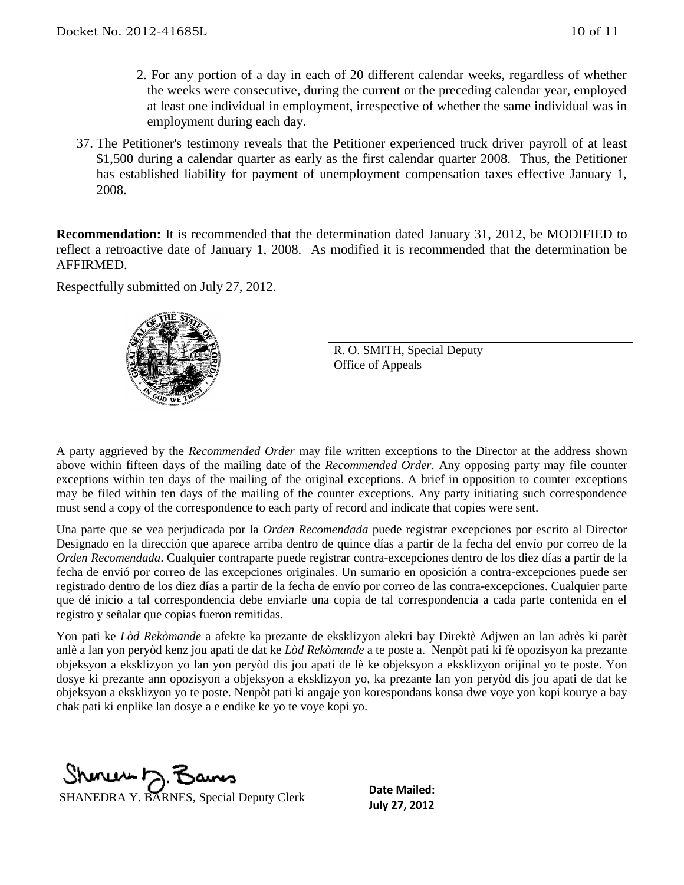- 2. For any portion of a day in each of 20 different calendar weeks, regardless of whether the weeks were consecutive, during the current or the preceding calendar year, employed at least one individual in employment, irrespective of whether the same individual was in employment during each day.
- 37. The Petitioner's testimony reveals that the Petitioner experienced truck driver payroll of at least \$1,500 during a calendar quarter as early as the first calendar quarter 2008. Thus, the Petitioner has established liability for payment of unemployment compensation taxes effective January 1, 2008.

**Recommendation:** It is recommended that the determination dated January 31, 2012, be MODIFIED to reflect a retroactive date of January 1, 2008. As modified it is recommended that the determination be AFFIRMED.

Respectfully submitted on July 27, 2012.



R. O. SMITH, Special Deputy Office of Appeals

A party aggrieved by the *Recommended Order* may file written exceptions to the Director at the address shown above within fifteen days of the mailing date of the *Recommended Order*. Any opposing party may file counter exceptions within ten days of the mailing of the original exceptions. A brief in opposition to counter exceptions may be filed within ten days of the mailing of the counter exceptions. Any party initiating such correspondence must send a copy of the correspondence to each party of record and indicate that copies were sent.

Una parte que se vea perjudicada por la *Orden Recomendada* puede registrar excepciones por escrito al Director Designado en la dirección que aparece arriba dentro de quince días a partir de la fecha del envío por correo de la *Orden Recomendada*. Cualquier contraparte puede registrar contra-excepciones dentro de los diez días a partir de la fecha de envió por correo de las excepciones originales. Un sumario en oposición a contra-excepciones puede ser registrado dentro de los diez días a partir de la fecha de envío por correo de las contra-excepciones. Cualquier parte que dé inicio a tal correspondencia debe enviarle una copia de tal correspondencia a cada parte contenida en el registro y señalar que copias fueron remitidas.

Yon pati ke *Lòd Rekòmande* a afekte ka prezante de eksklizyon alekri bay Direktè Adjwen an lan adrès ki parèt anlè a lan yon peryòd kenz jou apati de dat ke *Lòd Rekòmande* a te poste a. Nenpòt pati ki fè opozisyon ka prezante objeksyon a eksklizyon yo lan yon peryòd dis jou apati de lè ke objeksyon a eksklizyon orijinal yo te poste. Yon dosye ki prezante ann opozisyon a objeksyon a eksklizyon yo, ka prezante lan yon peryòd dis jou apati de dat ke objeksyon a eksklizyon yo te poste. Nenpòt pati ki angaje yon korespondans konsa dwe voye yon kopi kourye a bay chak pati ki enplike lan dosye a e endike ke yo te voye kopi yo.

 $www.12$ 

**July 27, 2012** SHANEDRA Y. BARNES, Special Deputy Clerk

**Date Mailed:**